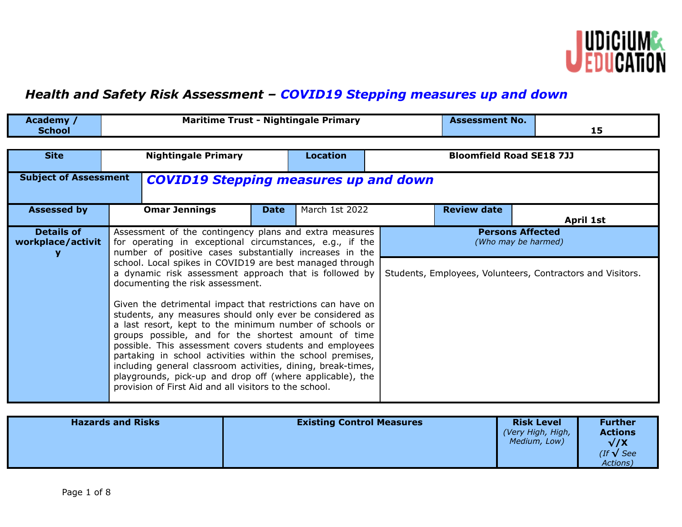

## *Health and Safety Risk Assessment – COVID19 Stepping measures up and down*

| Academy /<br><b>School</b>                                                   |                                                                                                                                                                                                                                                                                                                                                                                                                                                                                                                                                                                                                                                                                                                                                                                                                                                                                                      |             | <b>Maritime Trust - Nightingale Primary</b> | <b>Assessment No.</b>                          | 15                                                         |
|------------------------------------------------------------------------------|------------------------------------------------------------------------------------------------------------------------------------------------------------------------------------------------------------------------------------------------------------------------------------------------------------------------------------------------------------------------------------------------------------------------------------------------------------------------------------------------------------------------------------------------------------------------------------------------------------------------------------------------------------------------------------------------------------------------------------------------------------------------------------------------------------------------------------------------------------------------------------------------------|-------------|---------------------------------------------|------------------------------------------------|------------------------------------------------------------|
| <b>Nightingale Primary</b><br><b>Site</b>                                    |                                                                                                                                                                                                                                                                                                                                                                                                                                                                                                                                                                                                                                                                                                                                                                                                                                                                                                      |             | <b>Location</b>                             | <b>Bloomfield Road SE18 7JJ</b>                |                                                            |
| <b>Subject of Assessment</b><br><b>COVID19 Stepping measures up and down</b> |                                                                                                                                                                                                                                                                                                                                                                                                                                                                                                                                                                                                                                                                                                                                                                                                                                                                                                      |             |                                             |                                                |                                                            |
| <b>Assessed by</b>                                                           | <b>Omar Jennings</b>                                                                                                                                                                                                                                                                                                                                                                                                                                                                                                                                                                                                                                                                                                                                                                                                                                                                                 | <b>Date</b> | March 1st 2022                              | <b>Review date</b>                             | April 1st                                                  |
| <b>Details of</b><br>workplace/activit                                       | Assessment of the contingency plans and extra measures<br>for operating in exceptional circumstances, e.g., if the<br>number of positive cases substantially increases in the<br>school. Local spikes in COVID19 are best managed through<br>a dynamic risk assessment approach that is followed by<br>documenting the risk assessment.<br>Given the detrimental impact that restrictions can have on<br>students, any measures should only ever be considered as<br>a last resort, kept to the minimum number of schools or<br>groups possible, and for the shortest amount of time<br>possible. This assessment covers students and employees<br>partaking in school activities within the school premises,<br>including general classroom activities, dining, break-times,<br>playgrounds, pick-up and drop off (where applicable), the<br>provision of First Aid and all visitors to the school. |             |                                             | <b>Persons Affected</b><br>(Who may be harmed) | Students, Employees, Volunteers, Contractors and Visitors. |

| <b>Hazards and Risks</b> | <b>Existing Control Measures</b> | <b>Risk Level</b><br>(Very High, High,<br>Medium, Low) | <b>Further</b><br><b>Actions</b><br>$\sqrt{X}$<br>$($ If $\sqrt{\phantom{.}}$ See<br>Actions) |
|--------------------------|----------------------------------|--------------------------------------------------------|-----------------------------------------------------------------------------------------------|
|--------------------------|----------------------------------|--------------------------------------------------------|-----------------------------------------------------------------------------------------------|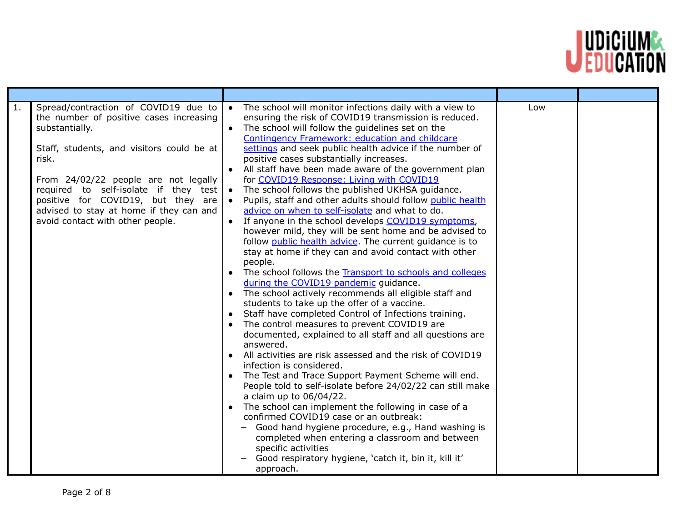

| 1.<br>Spread/contraction of COVID19 due to<br>the number of positive cases increasing<br>substantially.<br>Staff, students, and visitors could be at<br>risk.<br>From 24/02/22 people are not legally<br>required to self-isolate if they test<br>positive for COVID19, but they are<br>advised to stay at home if they can and<br>avoid contact with other people. | The school will monitor infections daily with a view to<br>$\bullet$<br>ensuring the risk of COVID19 transmission is reduced.<br>• The school will follow the guidelines set on the<br><b>Contingency Framework: education and childcare</b><br>settings and seek public health advice if the number of<br>positive cases substantially increases.<br>• All staff have been made aware of the government plan<br>for COVID19 Response: Living with COVID19<br>The school follows the published UKHSA guidance.<br>$\bullet$<br>Pupils, staff and other adults should follow public health<br>$\bullet$<br>advice on when to self-isolate and what to do.<br>• If anyone in the school develops COVID19 symptoms,<br>however mild, they will be sent home and be advised to<br>follow public health advice. The current guidance is to<br>stay at home if they can and avoid contact with other<br>people.<br>• The school follows the Transport to schools and colleges<br>during the COVID19 pandemic guidance.<br>• The school actively recommends all eligible staff and<br>students to take up the offer of a vaccine.<br>Staff have completed Control of Infections training.<br>$\bullet$<br>The control measures to prevent COVID19 are<br>documented, explained to all staff and all questions are<br>answered.<br>• All activities are risk assessed and the risk of COVID19<br>infection is considered.<br>• The Test and Trace Support Payment Scheme will end.<br>People told to self-isolate before 24/02/22 can still make<br>a claim up to 06/04/22.<br>• The school can implement the following in case of a<br>confirmed COVID19 case or an outbreak:<br>- Good hand hygiene procedure, e.g., Hand washing is<br>completed when entering a classroom and between<br>specific activities<br>Good respiratory hygiene, 'catch it, bin it, kill it'<br>approach. | Low |  |
|---------------------------------------------------------------------------------------------------------------------------------------------------------------------------------------------------------------------------------------------------------------------------------------------------------------------------------------------------------------------|--------------------------------------------------------------------------------------------------------------------------------------------------------------------------------------------------------------------------------------------------------------------------------------------------------------------------------------------------------------------------------------------------------------------------------------------------------------------------------------------------------------------------------------------------------------------------------------------------------------------------------------------------------------------------------------------------------------------------------------------------------------------------------------------------------------------------------------------------------------------------------------------------------------------------------------------------------------------------------------------------------------------------------------------------------------------------------------------------------------------------------------------------------------------------------------------------------------------------------------------------------------------------------------------------------------------------------------------------------------------------------------------------------------------------------------------------------------------------------------------------------------------------------------------------------------------------------------------------------------------------------------------------------------------------------------------------------------------------------------------------------------------------------------------------------------------------------------------------------------------------------|-----|--|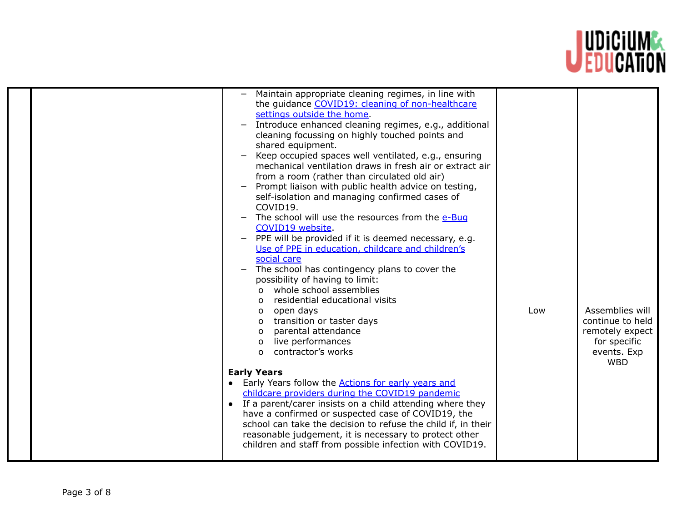

| Maintain appropriate cleaning regimes, in line with<br>the guidance COVID19: cleaning of non-healthcare<br>settings outside the home.<br>Introduce enhanced cleaning regimes, e.g., additional<br>$\overline{\phantom{m}}$<br>cleaning focussing on highly touched points and |                  |
|-------------------------------------------------------------------------------------------------------------------------------------------------------------------------------------------------------------------------------------------------------------------------------|------------------|
|                                                                                                                                                                                                                                                                               |                  |
|                                                                                                                                                                                                                                                                               |                  |
|                                                                                                                                                                                                                                                                               |                  |
|                                                                                                                                                                                                                                                                               |                  |
| shared equipment.                                                                                                                                                                                                                                                             |                  |
| Keep occupied spaces well ventilated, e.g., ensuring                                                                                                                                                                                                                          |                  |
| mechanical ventilation draws in fresh air or extract air                                                                                                                                                                                                                      |                  |
| from a room (rather than circulated old air)                                                                                                                                                                                                                                  |                  |
| Prompt liaison with public health advice on testing,                                                                                                                                                                                                                          |                  |
| self-isolation and managing confirmed cases of                                                                                                                                                                                                                                |                  |
| COVID19.                                                                                                                                                                                                                                                                      |                  |
| The school will use the resources from the e-Bug                                                                                                                                                                                                                              |                  |
| COVID19 website.                                                                                                                                                                                                                                                              |                  |
| PPE will be provided if it is deemed necessary, e.g.<br>$\overline{\phantom{m}}$                                                                                                                                                                                              |                  |
| Use of PPE in education, childcare and children's                                                                                                                                                                                                                             |                  |
| social care                                                                                                                                                                                                                                                                   |                  |
| The school has contingency plans to cover the                                                                                                                                                                                                                                 |                  |
| possibility of having to limit:                                                                                                                                                                                                                                               |                  |
| whole school assemblies<br>$\Omega$                                                                                                                                                                                                                                           |                  |
| residential educational visits<br>$\Omega$                                                                                                                                                                                                                                    |                  |
| open days<br>Low<br>$\Omega$                                                                                                                                                                                                                                                  | Assemblies will  |
| transition or taster days<br>O                                                                                                                                                                                                                                                | continue to held |
| parental attendance<br>O                                                                                                                                                                                                                                                      | remotely expect  |
| live performances<br>O                                                                                                                                                                                                                                                        | for specific     |
| contractor's works<br>$\Omega$                                                                                                                                                                                                                                                | events. Exp      |
|                                                                                                                                                                                                                                                                               | <b>WBD</b>       |
| <b>Early Years</b>                                                                                                                                                                                                                                                            |                  |
| • Early Years follow the <b>Actions for early years and</b>                                                                                                                                                                                                                   |                  |
| childcare providers during the COVID19 pandemic<br>• If a parent/carer insists on a child attending where they                                                                                                                                                                |                  |
| have a confirmed or suspected case of COVID19, the                                                                                                                                                                                                                            |                  |
| school can take the decision to refuse the child if, in their                                                                                                                                                                                                                 |                  |
| reasonable judgement, it is necessary to protect other                                                                                                                                                                                                                        |                  |
| children and staff from possible infection with COVID19.                                                                                                                                                                                                                      |                  |
|                                                                                                                                                                                                                                                                               |                  |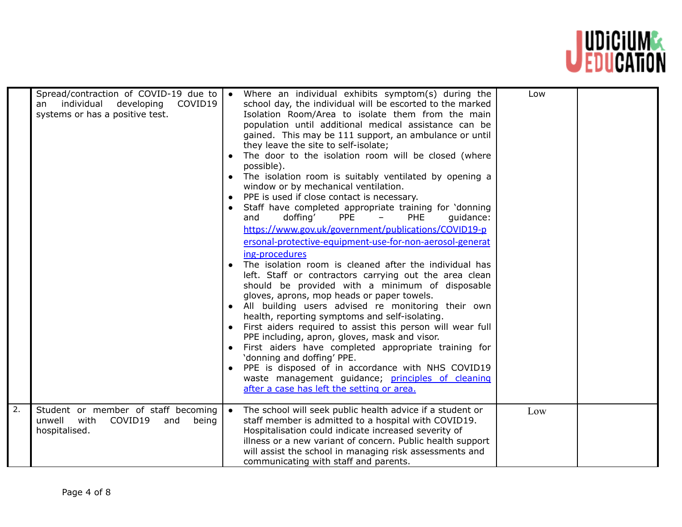

| 2. | Spread/contraction of COVID-19 due to<br>individual<br>developing<br>COVID19<br>an<br>systems or has a positive test. | Where an individual exhibits symptom(s) during the<br>school day, the individual will be escorted to the marked<br>Isolation Room/Area to isolate them from the main<br>population until additional medical assistance can be<br>gained. This may be 111 support, an ambulance or until<br>they leave the site to self-isolate;<br>The door to the isolation room will be closed (where<br>possible).<br>The isolation room is suitably ventilated by opening a<br>window or by mechanical ventilation.<br>PPE is used if close contact is necessary.<br>Staff have completed appropriate training for 'donning<br><b>PPE</b><br>doffing'<br>PHE<br>and<br>quidance:<br>Ξ.<br>https://www.gov.uk/government/publications/COVID19-p<br>ersonal-protective-equipment-use-for-non-aerosol-generat<br>ing-procedures<br>The isolation room is cleaned after the individual has<br>left. Staff or contractors carrying out the area clean<br>should be provided with a minimum of disposable<br>gloves, aprons, mop heads or paper towels.<br>All building users advised re monitoring their own<br>health, reporting symptoms and self-isolating.<br>First aiders required to assist this person will wear full<br>PPE including, apron, gloves, mask and visor.<br>First aiders have completed appropriate training for<br>'donning and doffing' PPE.<br>PPE is disposed of in accordance with NHS COVID19<br>waste management guidance; principles of cleaning<br>after a case has left the setting or area. | Low |  |
|----|-----------------------------------------------------------------------------------------------------------------------|------------------------------------------------------------------------------------------------------------------------------------------------------------------------------------------------------------------------------------------------------------------------------------------------------------------------------------------------------------------------------------------------------------------------------------------------------------------------------------------------------------------------------------------------------------------------------------------------------------------------------------------------------------------------------------------------------------------------------------------------------------------------------------------------------------------------------------------------------------------------------------------------------------------------------------------------------------------------------------------------------------------------------------------------------------------------------------------------------------------------------------------------------------------------------------------------------------------------------------------------------------------------------------------------------------------------------------------------------------------------------------------------------------------------------------------------------------------------------------------------------------|-----|--|
|    | Student or member of staff becoming<br>unwell<br>COVID19<br>with<br>and<br>being<br>hospitalised.                     | The school will seek public health advice if a student or<br>staff member is admitted to a hospital with COVID19.<br>Hospitalisation could indicate increased severity of<br>illness or a new variant of concern. Public health support<br>will assist the school in managing risk assessments and<br>communicating with staff and parents.                                                                                                                                                                                                                                                                                                                                                                                                                                                                                                                                                                                                                                                                                                                                                                                                                                                                                                                                                                                                                                                                                                                                                                | Low |  |

 $\mathbf{L}$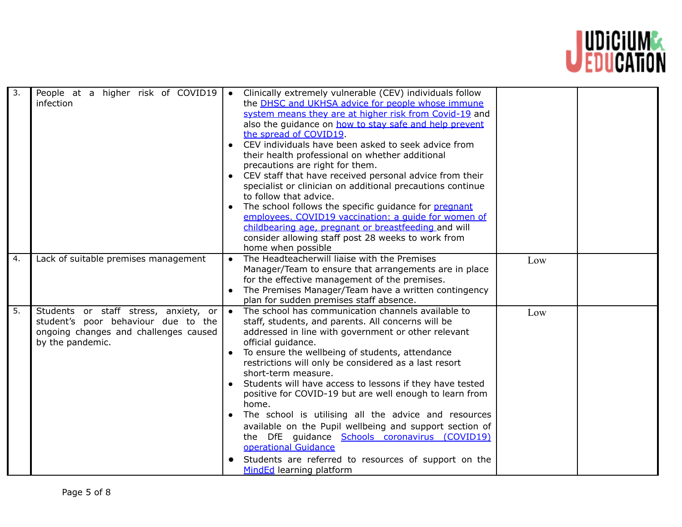

| 3.               | People at a higher risk of COVID19<br>infection                                                                                           | Clinically extremely vulnerable (CEV) individuals follow<br>$\bullet$<br>the <b>DHSC</b> and UKHSA advice for people whose immune<br>system means they are at higher risk from Covid-19 and<br>also the guidance on how to stay safe and help prevent<br>the spread of COVID19.<br>CEV individuals have been asked to seek advice from<br>their health professional on whether additional<br>precautions are right for them.<br>CEV staff that have received personal advice from their<br>specialist or clinician on additional precautions continue<br>to follow that advice.<br>The school follows the specific guidance for pregnant<br>employees. COVID19 vaccination: a quide for women of<br>childbearing age, pregnant or breastfeeding and will<br>consider allowing staff post 28 weeks to work from<br>home when possible |     |  |
|------------------|-------------------------------------------------------------------------------------------------------------------------------------------|--------------------------------------------------------------------------------------------------------------------------------------------------------------------------------------------------------------------------------------------------------------------------------------------------------------------------------------------------------------------------------------------------------------------------------------------------------------------------------------------------------------------------------------------------------------------------------------------------------------------------------------------------------------------------------------------------------------------------------------------------------------------------------------------------------------------------------------|-----|--|
| 4.               | Lack of suitable premises management                                                                                                      | The Headteacherwill liaise with the Premises<br>Manager/Team to ensure that arrangements are in place<br>for the effective management of the premises.<br>The Premises Manager/Team have a written contingency<br>plan for sudden premises staff absence.                                                                                                                                                                                                                                                                                                                                                                                                                                                                                                                                                                            | Low |  |
| $\overline{5}$ . | Students or staff stress, anxiety, or<br>student's poor behaviour due to the<br>ongoing changes and challenges caused<br>by the pandemic. | The school has communication channels available to<br>$\bullet$<br>staff, students, and parents. All concerns will be<br>addressed in line with government or other relevant<br>official guidance.<br>To ensure the wellbeing of students, attendance<br>restrictions will only be considered as a last resort<br>short-term measure.<br>Students will have access to lessons if they have tested<br>positive for COVID-19 but are well enough to learn from<br>home.<br>The school is utilising all the advice and resources<br>available on the Pupil wellbeing and support section of<br>the DfE guidance Schools coronavirus (COVID19)<br>operational Guidance<br>Students are referred to resources of support on the<br>MindEd learning platform                                                                               | Low |  |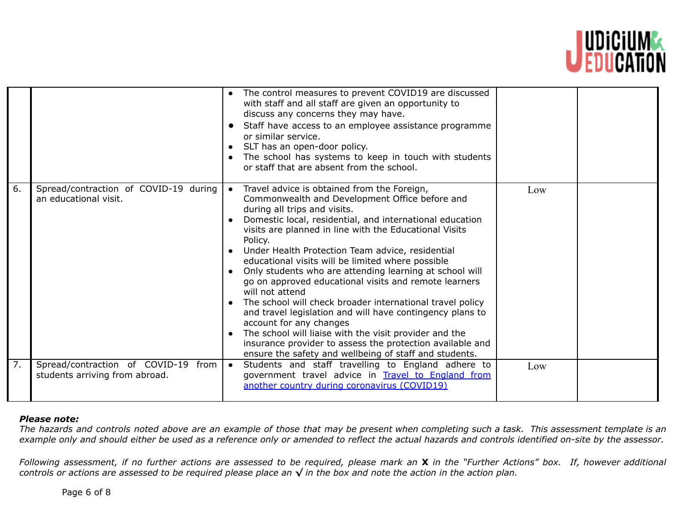

|                  |                                                                          | The control measures to prevent COVID19 are discussed<br>with staff and all staff are given an opportunity to<br>discuss any concerns they may have.<br>Staff have access to an employee assistance programme<br>or similar service.<br>SLT has an open-door policy.<br>$\bullet$<br>The school has systems to keep in touch with students<br>or staff that are absent from the school.                                                                                                                                                                                                                                                                                                                                                                                                                                                                                        |     |  |
|------------------|--------------------------------------------------------------------------|--------------------------------------------------------------------------------------------------------------------------------------------------------------------------------------------------------------------------------------------------------------------------------------------------------------------------------------------------------------------------------------------------------------------------------------------------------------------------------------------------------------------------------------------------------------------------------------------------------------------------------------------------------------------------------------------------------------------------------------------------------------------------------------------------------------------------------------------------------------------------------|-----|--|
| 6.               | Spread/contraction of COVID-19 during<br>an educational visit.           | Travel advice is obtained from the Foreign,<br>$\bullet$<br>Commonwealth and Development Office before and<br>during all trips and visits.<br>Domestic local, residential, and international education<br>visits are planned in line with the Educational Visits<br>Policy.<br>Under Health Protection Team advice, residential<br>educational visits will be limited where possible<br>Only students who are attending learning at school will<br>go on approved educational visits and remote learners<br>will not attend<br>The school will check broader international travel policy<br>and travel legislation and will have contingency plans to<br>account for any changes<br>The school will liaise with the visit provider and the<br>$\bullet$<br>insurance provider to assess the protection available and<br>ensure the safety and wellbeing of staff and students. | Low |  |
| $\overline{7}$ . | Spread/contraction of COVID-19<br>from<br>students arriving from abroad. | Students and staff travelling to England adhere to<br>$\bullet$<br>government travel advice in Travel to England from<br>another country during coronavirus (COVID19)                                                                                                                                                                                                                                                                                                                                                                                                                                                                                                                                                                                                                                                                                                          | Low |  |

## *Please note:*

The hazards and controls noted above are an example of those that may be present when completing such a task. This assessment template is an example only and should either be used as a reference only or amended to reflect the actual hazards and controls identified on-site by the assessor.

Following assessment, if no further actions are assessed to be required, please mark an X in the "Further Actions" box. If, however additional controls or actions are assessed to be required please place an  $\sqrt$  in the box and note the action in the action plan.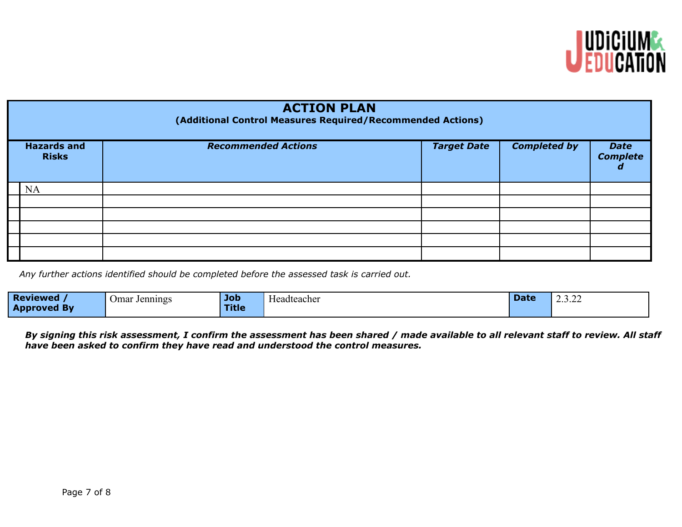

| <b>ACTION PLAN</b><br>(Additional Control Measures Required/Recommended Actions) |                            |                    |                     |                                |  |  |  |  |
|----------------------------------------------------------------------------------|----------------------------|--------------------|---------------------|--------------------------------|--|--|--|--|
| <b>Hazards and</b><br><b>Risks</b>                                               | <b>Recommended Actions</b> | <b>Target Date</b> | <b>Completed by</b> | <b>Date</b><br><b>Complete</b> |  |  |  |  |
| NA                                                                               |                            |                    |                     |                                |  |  |  |  |
|                                                                                  |                            |                    |                     |                                |  |  |  |  |
|                                                                                  |                            |                    |                     |                                |  |  |  |  |
|                                                                                  |                            |                    |                     |                                |  |  |  |  |
|                                                                                  |                            |                    |                     |                                |  |  |  |  |
|                                                                                  |                            |                    |                     |                                |  |  |  |  |

*Any further actions identified should be completed before the assessed task is carried out.*

| <b>Reviewed</b>        | Jennings<br>. Jmar | <b>Job</b>   | $\sim$<br>-leadteacher | $P - 1$<br>Pace | $\sim$ $\sim$<br>2.J.ZZ |
|------------------------|--------------------|--------------|------------------------|-----------------|-------------------------|
| App<br><b>roved By</b> |                    | <b>Title</b> |                        |                 |                         |

By signing this risk assessment, I confirm the assessment has been shared / made available to all relevant staff to review. All staff *have been asked to confirm they have read and understood the control measures.*